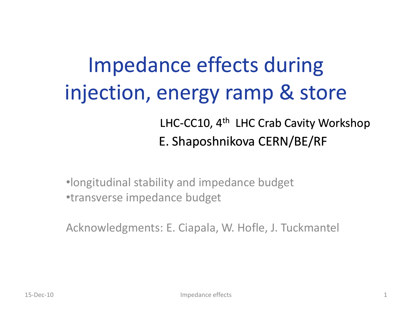## Impedance effects during injection, energy ramp & store LHC-CC10, 4<sup>th</sup> LHC Crab Cavity Workshop E. Shaposhnikova CERN/BE/RF

•longitudinal stability and impedance budget •transverse impedance budget

Acknowledgments: E. Ciapala, W. Hofle, J. Tuckmantel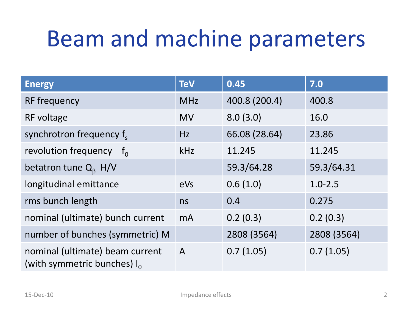## Beam and machine parameters

| <b>Energy</b>                                                     | <b>TeV</b>     | 0.45          | 7.0         |
|-------------------------------------------------------------------|----------------|---------------|-------------|
| RF frequency                                                      | <b>MHz</b>     | 400.8 (200.4) | 400.8       |
| RF voltage                                                        | <b>MV</b>      | 8.0(3.0)      | 16.0        |
| synchrotron frequency f.                                          | Hz             | 66.08 (28.64) | 23.86       |
| revolution frequency<br>$-f_{0}$                                  | kHz            | 11.245        | 11.245      |
| betatron tune $Q_8$ H/V                                           |                | 59.3/64.28    | 59.3/64.31  |
| longitudinal emittance                                            | eVs            | 0.6(1.0)      | $1.0 - 2.5$ |
| rms bunch length                                                  | ns             | 0.4           | 0.275       |
| nominal (ultimate) bunch current                                  | m <sub>A</sub> | 0.2(0.3)      | 0.2(0.3)    |
| number of bunches (symmetric) M                                   |                | 2808 (3564)   | 2808 (3564) |
| nominal (ultimate) beam current<br>(with symmetric bunches) $I_0$ | $\mathsf{A}$   | 0.7(1.05)     | 0.7(1.05)   |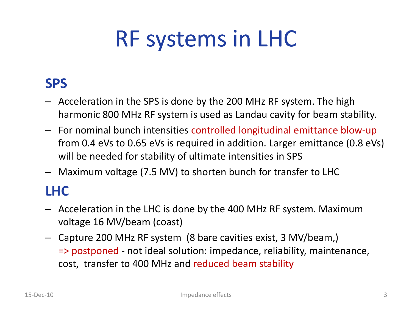# RF systems in LHC

#### **SPS**

- Acceleration in the SPS is done by the 200 MHz RF system. The high harmonic 800 MHz RF system is used as Landau cavity for beam stability.
- For nominal bunch intensities controlled longitudinal emittance blow-up from 0.4 eVs to 0.65 eVs is required in addition. Larger emittance (0.8 eVs) will be needed for stability of ultimate intensities in SPS
- Maximum voltage (7.5 MV) to shorten bunch for transfer to LHC

#### **LHC**

- Acceleration in the LHC is done by the 400 MHz RF system. Maximum voltage 16 MV/beam (coast)
- Capture 200 MHz RF system (8 bare cavities exist, 3 MV/beam,) => postponed - not ideal solution: impedance, reliability, maintenance, cost, transfer to 400 MHz and reduced beam stability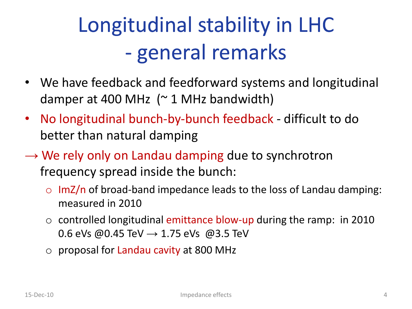# Longitudinal stability in LHC - general remarks

- We have feedback and feedforward systems and longitudinal damper at 400 MHz  $($   $\sim$  1 MHz bandwidth)
- No longitudinal bunch-by-bunch feedback difficult to do better than natural damping
- $\rightarrow$  We rely only on Landau damping due to synchrotron frequency spread inside the bunch:
	- $\circ$  ImZ/n of broad-band impedance leads to the loss of Landau damping: measured in 2010
	- o controlled longitudinal emittance blow-up during the ramp: in 2010 0.6 eVs @0.45 TeV  $\rightarrow$  1.75 eVs @3.5 TeV
	- o proposal for Landau cavity at 800 MHz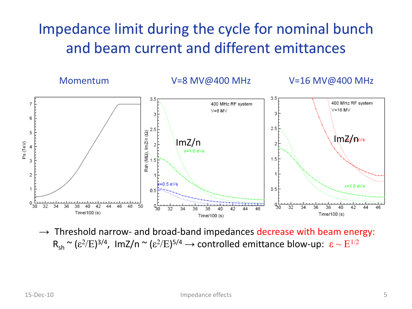#### Impedance limit during the cycle for nominal bunch and beam current and different emittances



 $\rightarrow$  Threshold narrow- and broad-band impedances decrease with beam energy:  $R_{sh} \approx (\epsilon^2/E)^{3/4}$ , ImZ/n  $\approx (\epsilon^2/E)^{5/4} \rightarrow$  controlled emittance blow-up:  $\epsilon \sim E^{1/2}$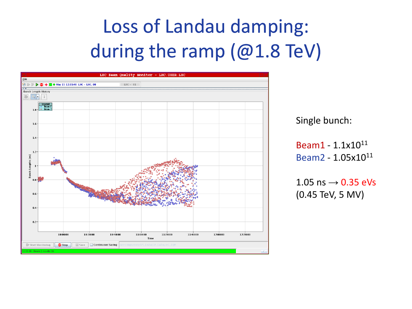## Loss of Landau damping: during the ramp (@1.8 TeV)

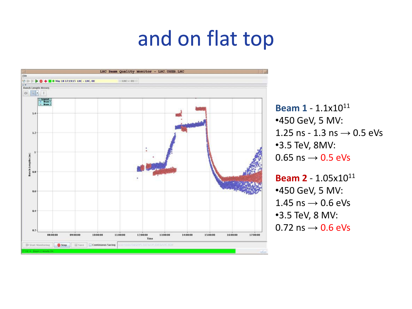## and on flat top



**Beam 1** - 1.1x10<sup>11</sup> •450 GeV, 5 MV: 1.25 ns - 1.3 ns  $\rightarrow$  0.5 eVs •3.5 TeV, 8MV:  $0.65$  ns  $\rightarrow$  0.5 eVs

**Beam 2** - 1.05x10<sup>11</sup> •450 GeV, 5 MV:  $1.45$  ns  $\rightarrow$  0.6 eVs •3.5 TeV, 8 MV:  $0.72$  ns  $\rightarrow$  0.6 eVs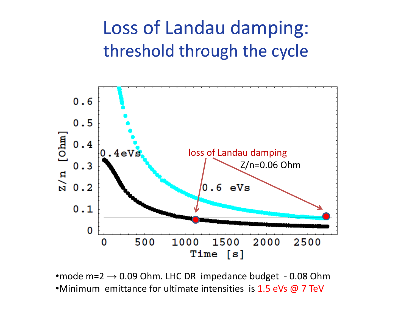### Loss of Landau damping: threshold through the cycle



•mode m= $2 \rightarrow 0.09$  Ohm. LHC DR impedance budget - 0.08 Ohm •Minimum emittance for ultimate intensities is 1.5 eVs @ 7 TeV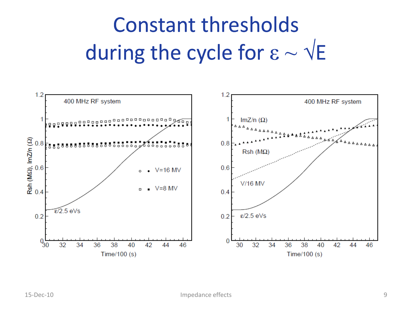# Constant thresholds during the cycle for  $\varepsilon \sim \sqrt{E}$

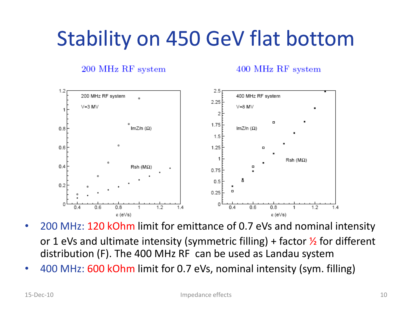## Stability on 450 GeV flat bottom

200 MHz RF system

400 MHz RF system



- 200 MHz: 120 kOhm limit for emittance of 0.7 eVs and nominal intensity or 1 eVs and ultimate intensity (symmetric filling) + factor  $\frac{1}{2}$  for different distribution (F). The 400 MHz RF can be used as Landau system
- 400 MHz: 600 kOhm limit for 0.7 eVs, nominal intensity (sym. filling)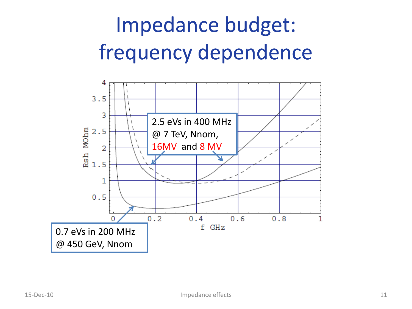# Impedance budget: frequency dependence

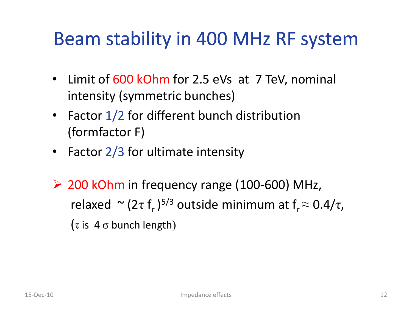### Beam stability in 400 MHz RF system

- Limit of 600 kOhm for 2.5 eVs at 7 TeV, nominal intensity (symmetric bunches)
- Factor 1/2 for different bunch distribution (formfactor F)
- Factor 2/3 for ultimate intensity
- $\geq$  200 kOhm in frequency range (100-600) MHz, relaxed  $\sim$  (2τ f<sub>r</sub>)<sup>5/3</sup> outside minimum at f<sub>r</sub> $\approx$  0.4/τ, ( $\tau$  is 4  $\sigma$  bunch length)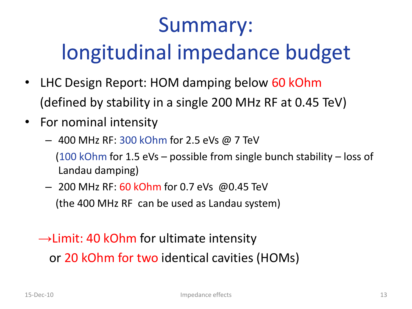## Summary: longitudinal impedance budget

- LHC Design Report: HOM damping below 60 kOhm (defined by stability in a single 200 MHz RF at 0.45 TeV)
- For nominal intensity
	- $-400$  MHz RF: 300 kOhm for 2.5 eVs @ 7 TeV (100 kOhm for 1.5 eVs – possible from single bunch stability – loss of Landau damping)
	- 200 MHz RF: 60 kOhm for 0.7 eVs @0.45 TeV (the 400 MHz RF can be used as Landau system)

 $\rightarrow$ Limit: 40 kOhm for ultimate intensity or 20 kOhm for two identical cavities (HOMs)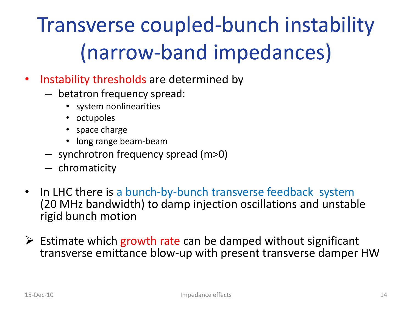# Transverse coupled-bunch instability (narrow-band impedances)

- Instability thresholds are determined by
	- betatron frequency spread:
		- system nonlinearities
		- octupoles
		- space charge
		- long range beam-beam
	- synchrotron frequency spread (m>0)
	- chromaticity
- In LHC there is a bunch-by-bunch transverse feedback system (20 MHz bandwidth) to damp injection oscillations and unstable rigid bunch motion
- $\triangleright$  Estimate which growth rate can be damped without significant transverse emittance blow-up with present transverse damper HW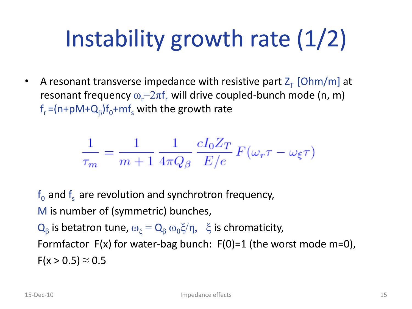# Instability growth rate (1/2)

• A resonant transverse impedance with resistive part  $Z<sub>T</sub>$  [Ohm/m] at resonant frequency  $\omega_{\rm r}$ = $2\pi$ f, will drive coupled-bunch mode (n, m)  $\mathsf{f}_{\mathsf{r}}^{\vphantom{1}}\!=\!\!(\mathsf{n}\text{+}\mathsf{p}\mathsf{M}\text{+}\mathsf{Q}_{\beta})\mathsf{f}_{\mathsf{0}}^{\vphantom{1}}\!\!+\!\mathsf{m}\mathsf{f}_{\mathsf{s}}^{\vphantom{1}}$  with the growth rate

$$
\frac{1}{\tau_m} = \frac{1}{m+1} \frac{1}{4\pi Q_\beta} \frac{cI_0 Z_T}{E/e} F(\omega_r \tau - \omega_\xi \tau)
$$

 $f_0$  and  $f_s$  are revolution and synchrotron frequency, M is number of (symmetric) bunches,  $Q_{\beta}$  is betatron tune,  $\omega_{\xi} = Q_{\beta} \omega_0 \xi / \eta$ ,  $\xi$  is chromaticity, Formfactor  $F(x)$  for water-bag bunch:  $F(0)=1$  (the worst mode m=0),  $F(x > 0.5) \approx 0.5$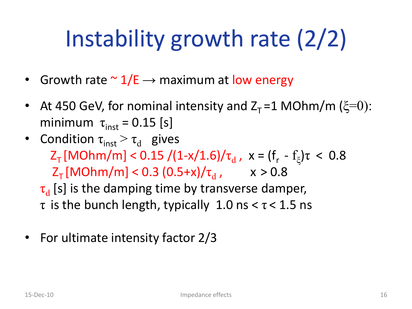# Instability growth rate (2/2)

- Growth rate  $\sim 1/E \rightarrow$  maximum at low energy
- At 450 GeV, for nominal intensity and  $Z_T = 1$  MOhm/m ( $\xi=0$ ): minimum  $\tau_{\text{inst}} = 0.15$  [s]
- Condition  $\tau_{inst} > \tau_d$  gives Z<sub>τ</sub> [MOhm/m] < 0.15 /(1-x/1.6)/ $\tau_{d}$ , x = (f<sub>r</sub> - f<sub>ξ</sub>) $\tau$  < 0.8  $Z_{T}$ [MOhm/m] < 0.3 (0.5+x)/ $\tau_{d}$  , x > 0.8

 $\tau_{\rm d}$  [s] is the damping time by transverse damper,  $\tau$  is the bunch length, typically 1.0 ns  $\lt \tau \lt 1.5$  ns

• For ultimate intensity factor 2/3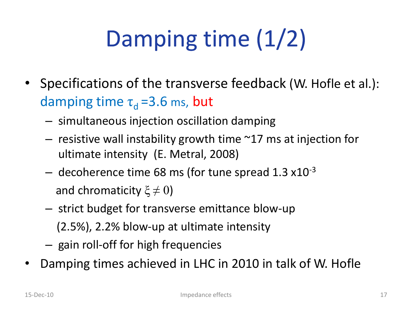# Damping time (1/2)

- Specifications of the transverse feedback (W. Hofle et al.): damping time  $\tau_d = 3.6$  ms, but
	- simultaneous injection oscillation damping
	- $-$  resistive wall instability growth time  $\sim$ 17 ms at injection for ultimate intensity (E. Metral, 2008)
	- $-$  decoherence time 68 ms (for tune spread 1.3  $\times$ 10<sup>-3</sup> and chromaticity  $\xi \neq 0$ )
	- strict budget for transverse emittance blow-up
		- (2.5%), 2.2% blow-up at ultimate intensity
	- gain roll-off for high frequencies
- Damping times achieved in LHC in 2010 in talk of W. Hofle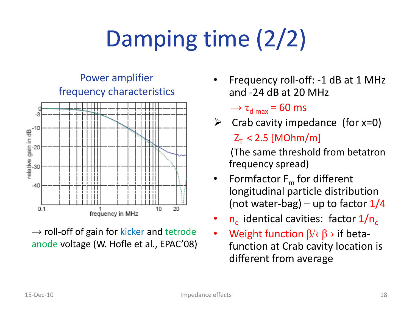# Damping time (2/2)



 $\rightarrow$  roll-off of gain for kicker and tetrode anode voltage (W. Hofle et al., EPAC'08)

- Frequency roll-off: -1 dB at 1 MHz and -24 dB at 20 MHz
	- $\rightarrow \tau_{\text{d max}} = 60 \text{ ms}$
- $\triangleright$  Crab cavity impedance (for x=0)  $Z_T < 2.5$  [MOhm/m]

(The same threshold from betatron frequency spread)

- Formfactor  $F_m$  for different longitudinal particle distribution (not water-bag) – up to factor  $1/4$
- $n_c$  identical cavities: factor  $1/n_c$
- Weight function  $\beta$ / $\langle \beta \rangle$  if betafunction at Crab cavity location is different from average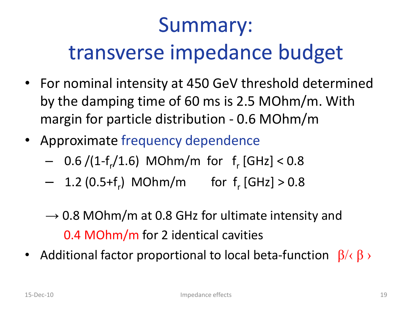# Summary: transverse impedance budget

- For nominal intensity at 450 GeV threshold determined by the damping time of 60 ms is 2.5 MOhm/m. With margin for particle distribution - 0.6 MOhm/m
- Approximate frequency dependence
	- $-$  0.6 /(1-f<sub>r</sub>/1.6) MOhm/m for f<sub>r</sub> [GHz] < 0.8
	- $-$  1.2 (0.5+f<sub>r</sub>) MOhm/m for f<sub>r</sub> [GHz] > 0.8
	- $\rightarrow$  0.8 MOhm/m at 0.8 GHz for ultimate intensity and 0.4 MOhm/m for 2 identical cavities
- Additional factor proportional to local beta-function  $\beta/\langle \beta \rangle$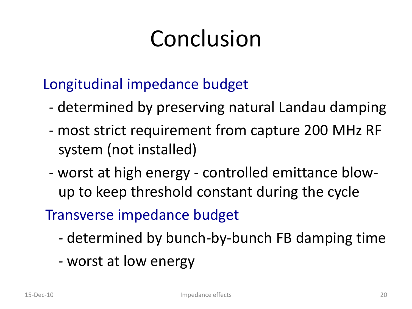# Conclusion

Longitudinal impedance budget

- determined by preserving natural Landau damping
- most strict requirement from capture 200 MHz RF system (not installed)
- worst at high energy controlled emittance blowup to keep threshold constant during the cycle

Transverse impedance budget

- determined by bunch-by-bunch FB damping time
- worst at low energy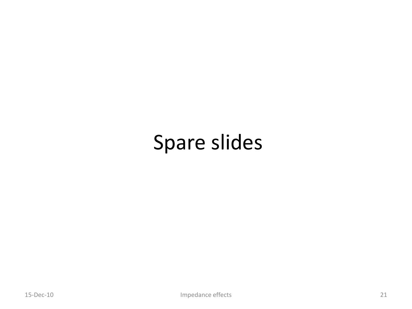## Spare slides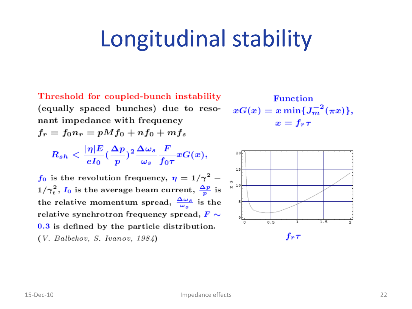# Longitudinal stability

Threshold for coupled-bunch instability (equally spaced bunches) due to resonant impedance with frequency  $f_r = f_0 n_r = pM f_0 + n f_0 + m f_s$ 

$$
R_{sh}<\frac{|\eta|E}{eI_0}(\frac{\Delta p}{p})^2\frac{\Delta\omega_s}{\omega_s}\frac{F}{f_0\tau}xG(x),
$$

 $f_0$  is the revolution frequency,  $\eta = 1/\gamma^2$  –  $1/\gamma_t^2$ ,  $I_0$  is the average beam current,  $\frac{\Delta p}{p}$  is the relative momentum spread,  $\frac{\Delta \omega_s}{\omega_s}$  is the relative synchrotron frequency spread,  $F \sim$  $0.3$  is defined by the particle distribution.  $(V. Balbekov, S. Ivanov, 1984)$ 

**Function**  $xG(x) = x \min\{J_m^{-2}(\pi x)\},\$  $x = f_r \tau$